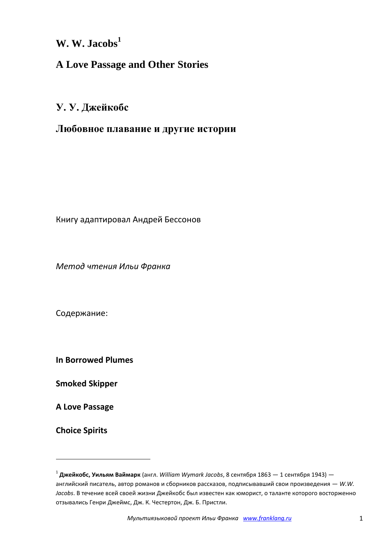**W. W. Jacobs<sup>1</sup>**

## **A Love Passage and Other Stories**

**У. У. Джейкобс**

## **Любовное плавание и другие истории**

Книгу адаптировал Андрей Бессонов

*Метод чтения Ильи Франка*

Содержание:

**In Borrowed Plumes**

**Smoked Skipper**

**A Love Passage**

**Choice Spirits**

**.** 

<sup>1</sup> **Джейкобс, Уильям Ваймарк** (англ. *William Wymark Jacobs*, 8 сентября 1863 — 1 сентября 1943) английский писатель, автор романов и сборников рассказов, подписывавший свои произведения — *W.W. Jacobs*. В течение всей своей жизни Джейкобс был известен как юморист, о таланте которого восторженно отзывались Генри Джеймс, Дж. К. Честертон, Дж. Б. Пристли.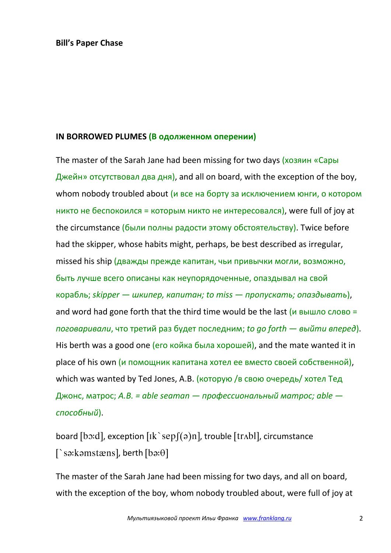## **IN BORROWED PLUMES (В одолженном оперении)**

The master of the Sarah Jane had been missing for two days (хозяин «Сары Джейн» отсутствовал два дня), and all on board, with the exception of the boy, whom nobody troubled about (и все на борту за исключением юнги, о котором никто не беспокоился = которым никто не интересовался), were full of joy at the circumstance (были полны радости этому обстоятельству). Twice before had the skipper, whose habits might, perhaps, be best described as irregular, missed his ship (дважды прежде капитан, чьи привычки могли, возможно, быть лучше всего описаны как неупорядоченные, опаздывал на свой корабль; *skipper — шкипер, капитан; to miss — пропускать; опаздывать*), and word had gone forth that the third time would be the last  $(u$  вышло слово = *поговаривали*, что третий раз будет последним; *to go forth — выйти вперед*). His berth was a good one (его койка была хорошей), and the mate wanted it in place of his own (и помощник капитана хотел ее вместо своей собственной), which was wanted by Ted Jones, A.B. (которую /в свою очередь/ хотел Тед Джонс, матрос; *A.B. = able seaman — профессиональный матрос; able способный*).

board [bo:d], exception  $\lceil \text{lk} \rangle$  sep $\lceil (\text{a}) \text{n} \rceil$ , trouble  $\lceil \text{tr} \Lambda \text{bl} \rceil$ , circumstance [`sə:kəmstæns], berth [bə: $\theta$ ]

The master of the Sarah Jane had been missing for two days, and all on board, with the exception of the boy, whom nobody troubled about, were full of joy at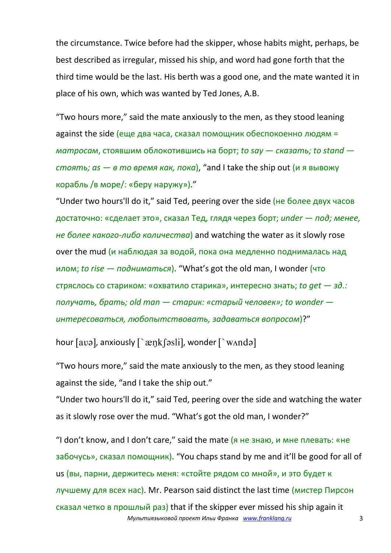the circumstance. Twice before had the skipper, whose habits might, perhaps, be best described as irregular, missed his ship, and word had gone forth that the third time would be the last. His berth was a good one, and the mate wanted it in place of his own, which was wanted by Ted Jones, A.B.

"Two hours more," said the mate anxiously to the men, as they stood leaning against the side (еще два часа, сказал помощник обеспокоенно людям = *матросам*, стоявшим облокотившись на борт; *to say — сказать; to stand стоять; as — в то время как, пока*), "and I take the ship out (и я вывожу корабль /в море/: «беру наружу»)."

"Under two hours'll do it," said Ted, peering over the side (не более двух часов достаточно: «сделает это», сказал Тед, глядя через борт; *under — под; менее, не более какого-либо количества*) and watching the water as it slowly rose over the mud (и наблюдая за водой, пока она медленно поднималась над илом; *to rise — подниматься*). "What's got the old man, I wonder (что стряслось со стариком: «охватило старика», интересно знать; *to get — зд.: получать, брать; old man — старик: «старый человек»; to wonder интересоваться, любопытствовать, задаваться вопросом*)?"

hour  $[avg]$ , anxiously  $\lceil \frac{exp(k)}{sign(k)} \rceil$ , wonder  $\lceil \frac{exp(k)}{sign(k)} \rceil$ 

"Two hours more," said the mate anxiously to the men, as they stood leaning against the side, "and I take the ship out."

"Under two hours'll do it," said Ted, peering over the side and watching the water as it slowly rose over the mud. "What's got the old man, I wonder?"

*Мультиязыковой проект Ильи Франка www.franklang.ru* 3 "I don't know, and I don't care," said the mate  $(a + b)$  не знаю, и мне плевать: «не забочусь», сказал помощник). "You chaps stand by me and it'll be good for all of us (вы, парни, держитесь меня: «стойте рядом со мной», и это будет к лучшему для всех нас). Mr. Pearson said distinct the last time (мистер Пирсон сказал четко в прошлый раз) that if the skipper ever missed his ship again it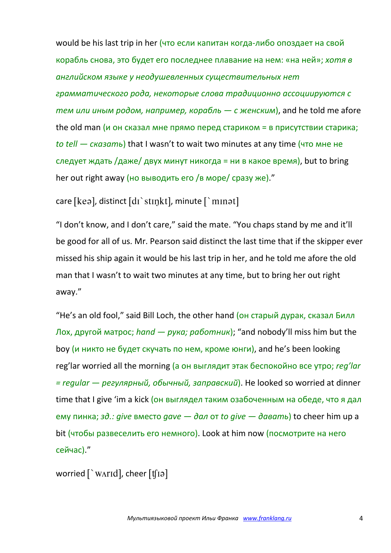would be his last trip in her (что если капитан когда-либо опоздает на свой корабль снова, это будет его последнее плавание на нем: «на ней»; *хотя в английском языке у неодушевленных существительных нет грамматического рода, некоторые слова традиционно ассоциируются с тем или иным родом, например, корабль — с женским*), and he told me afore the old man (и он сказал мне прямо перед стариком = в присутствии старика; *to tell — сказать*) that I wasn't to wait two minutes at any time (что мне не следует ждать /даже/ двух минут никогда = ни в какое время), but to bring her out right away (но выводить его /в море/ сразу же)."

care [kea], distinct [dɪ`stɪŋkt], minute [`mɪnət]

"I don't know, and I don't care," said the mate. "You chaps stand by me and it'll be good for all of us. Mr. Pearson said distinct the last time that if the skipper ever missed his ship again it would be his last trip in her, and he told me afore the old man that I wasn't to wait two minutes at any time, but to bring her out right away."

"He's an old fool," said Bill Loch, the other hand (он старый дурак, сказал Билл Лох, другой матрос; *hand — рука; работник*); "and nobody'll miss him but the boy (и никто не будет скучать по нем, кроме юнги), and he's been looking reg'lar worried all the morning (а он выглядит этак беспокойно все утро; *reg'lar = regular — регулярный, обычный, заправский*). He looked so worried at dinner time that I give 'im a kick (он выглядел таким озабоченным на обеде, что я дал ему пинка; *зд.: give* вместо *gave — дал* от *to give — давать*) to cheer him up a bit (чтобы развеселить его немного). Look at him now (посмотрите на него сейчас)."

worried  $\lceil$  `w $\Lambda$ rid], cheer  $\lfloor$ t $\lceil$ ia]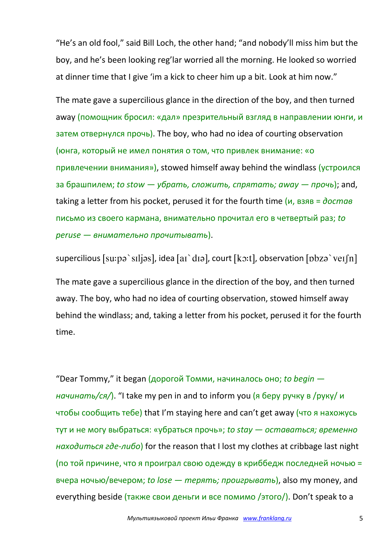"He's an old fool," said Bill Loch, the other hand; "and nobody'll miss him but the boy, and he's been looking reg'lar worried all the morning. He looked so worried at dinner time that I give 'im a kick to cheer him up a bit. Look at him now."

The mate gave a supercilious glance in the direction of the boy, and then turned away (помощник бросил: «дал» презрительный взгляд в направлении юнги, и затем отвернулся прочь). The boy, who had no idea of courting observation (юнга, который не имел понятия о том, что привлек внимание: «о привлечении внимания»), stowed himself away behind the windlass (устроился за брашпилем; *to stow — убрать, сложить, спрятать; away — прочь*); and, taking a letter from his pocket, perused it for the fourth time (и, взяв = *достав* письмо из своего кармана, внимательно прочитал его в четвертый раз; *to peruse — внимательно прочитывать*).

supercilious [su:pə`sɪljəs], idea [aɪ`dɪə], court [kɔ:t], observation [pbzə`veɪʃn] The mate gave a supercilious glance in the direction of the boy, and then turned away. The boy, who had no idea of courting observation, stowed himself away behind the windlass; and, taking a letter from his pocket, perused it for the fourth time.

"Dear Tommy," it began (дорогой Томми, начиналось оно; *to begin начинать/ся/*). "I take my pen in and to inform you (я беру ручку в /руку/ и чтобы сообщить тебе) that I'm staying here and can't get away (что я нахожусь тут и не могу выбраться: «убраться прочь»; *to stay — оставаться; временно находиться где-либо*) for the reason that I lost my clothes at cribbage last night (по той причине, что я проиграл свою одежду в криббедж последней ночью = вчера ночью/вечером; *to lose — терять; проигрывать*), also my money, and everything beside (также свои деньги и все помимо /этого/). Don't speak to a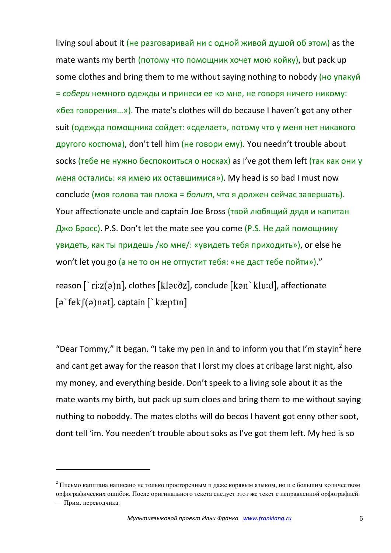living soul about it (не разговаривай ни с одной живой душой об этом) as the mate wants my berth (потому что помощник хочет мою койку), but pack up some clothes and bring them to me without saying nothing to nobody (но упакуй = *собери* немного одежды и принеси ее ко мне, не говоря ничего никому: «без говорения…»). The mate's clothes will do because I haven't got any other suit (одежда помощника сойдет: «сделает», потому что у меня нет никакого другого костюма), don't tell him (не говори ему). You needn't trouble about socks (тебе не нужно беспокоиться о носках) as I've got them left (так как они у меня остались: «я имею их оставшимися»). My head is so bad I must now conclude (моя голова так плоха = *болит*, что я должен сейчас завершать). Your affectionate uncle and captain Joe Bross (твой любящий дядя и капитан Джо Бросс). P.S. Don't let the mate see you come (P.S. Не дай помощнику увидеть, как ты придешь /ко мне/: «увидеть тебя приходить»), or else he won't let you go (а не то он не отпустит тебя: «не даст тебе пойти»)."

reason  $\lceil \text{riz}(a) \text{nl} \rceil$ , clothes [klavðz], conclude [kan \klu:d], affectionate  $\lceil a \rceil$ fek $\lceil (a)$ nət], captain  $\lceil \cdot \rceil$  kæptın]

"Dear Tommy," it began. "I take my pen in and to inform you that I'm stayin<sup>2</sup> here and cant get away for the reason that I lorst my cloes at cribage larst night, also my money, and everything beside. Don't speek to a living sole about it as the mate wants my birth, but pack up sum cloes and bring them to me without saying nuthing to noboddy. The mates cloths will do becos I havent got enny other soot, dont tell 'im. You needen't trouble about soks as I've got them left. My hed is so

**.** 

<sup>&</sup>lt;sup>2</sup> Письмо капитана написано не только просторечным и даже корявым языком, но и с большим количеством орфографических ошибок. После оригинального текста следует этот же текст с исправленной орфографией. — Прим. переводчика.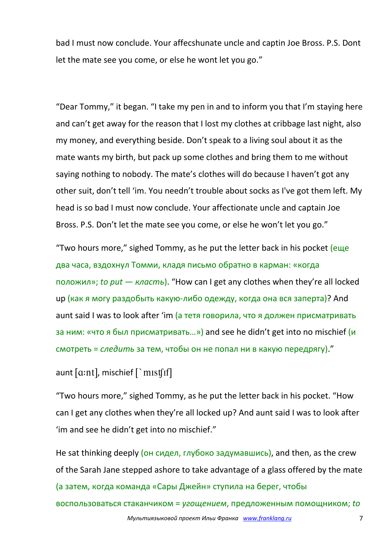bad I must now conclude. Your affecshunate uncle and captin Joe Bross. P.S. Dont let the mate see you come, or else he wont let you go."

"Dear Tommy," it began. "I take my pen in and to inform you that I'm staying here and can't get away for the reason that I lost my clothes at cribbage last night, also my money, and everything beside. Don't speak to a living soul about it as the mate wants my birth, but pack up some clothes and bring them to me without saying nothing to nobody. The mate's clothes will do because I haven't got any other suit, don't tell 'im. You needn't trouble about socks as I've got them left. My head is so bad I must now conclude. Your affectionate uncle and captain Joe Bross. P.S. Don't let the mate see you come, or else he won't let you go."

"Two hours more," sighed Tommy, as he put the letter back in his pocket (еще два часа, вздохнул Томми, кладя письмо обратно в карман: «когда положил»; *to put — класть*). "How can I get any clothes when they're all locked up (как я могу раздобыть какую-либо одежду, когда она вся заперта)? And aunt said I was to look after 'im (а тетя говорила, что я должен присматривать за ним: «что я был присматривать…») and see he didn't get into no mischief (и смотреть = *следить* за тем, чтобы он не попал ни в какую передрягу)."

aunt  $[$ a:nt $]$ , mischief  $[$  `mist $[$ if $]$ 

"Two hours more," sighed Tommy, as he put the letter back in his pocket. "How can I get any clothes when they're all locked up? And aunt said I was to look after 'im and see he didn't get into no mischief."

He sat thinking deeply (он сидел, глубоко задумавшись), and then, as the crew of the Sarah Jane stepped ashore to take advantage of a glass offered by the mate (а затем, когда команда «Сары Джейн» ступила на берег, чтобы воспользоваться стаканчиком = *угощением*, предложенным помощником; *to*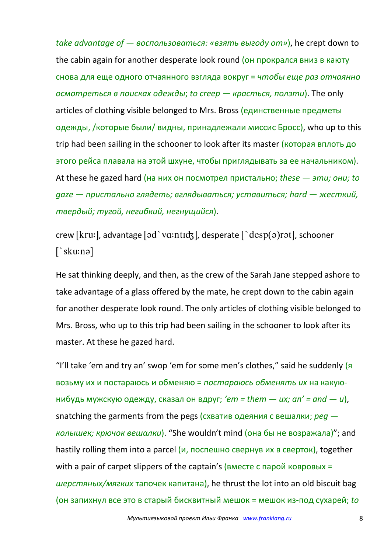*take advantage of — воспользоваться: «взять выгоду от»*), he crept down to the cabin again for another desperate look round (он прокрался вниз в каюту снова для еще одного отчаянного взгляда вокруг = *чтобы еще раз отчаянно осмотреться в поисках одежды*; *to creep — красться, ползти*). The only articles of clothing visible belonged to Mrs. Bross (единственные предметы одежды, /которые были/ видны, принадлежали миссис Бросс), who up to this trip had been sailing in the schooner to look after its master (которая вплоть до этого рейса плавала на этой шхуне, чтобы приглядывать за ее начальником). At these he gazed hard (на них он посмотрел пристально; *these — эти; они; to gaze — пристально глядеть; вглядываться; уставиться; hard — жесткий, твердый; тугой, негибкий, негнущийся*).

crew [kru:], advantage [əd`vɑ:ntɪdʒ], desperate  $\int$  desp $(a)$ rət], schooner  $\lceil$ 'sku:nə]

He sat thinking deeply, and then, as the crew of the Sarah Jane stepped ashore to take advantage of a glass offered by the mate, he crept down to the cabin again for another desperate look round. The only articles of clothing visible belonged to Mrs. Bross, who up to this trip had been sailing in the schooner to look after its master. At these he gazed hard.

"I'll take 'em and try an' swop 'em for some men's clothes," said he suddenly  $(a)$ возьму их и постараюсь и обменяю = *постараюсь обменять их* на какуюнибудь мужскую одежду, сказал он вдруг; *'em = them — их; an' = and — и*), snatching the garments from the pegs (схватив одеяния с вешалки; *peg колышек; крючок вешалки*). "She wouldn't mind (она бы не возражала)"; and hastily rolling them into a parcel  $(u, \text{nocum} + \text{ncum})$  are provided in the cream of together with a pair of carpet slippers of the captain's ( $B$ Mecte с парой ковровых = *шерстяных/мягких* тапочек капитана), he thrust the lot into an old biscuit bag (он запихнул все это в старый бисквитный мешок = мешок из-под сухарей; *to*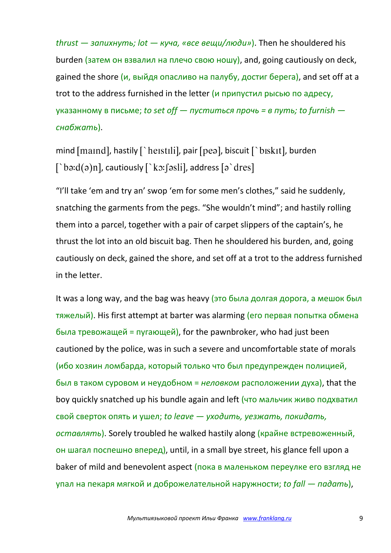*thrust — запихнуть; lot — куча, «все вещи/люди»*). Then he shouldered his burden (затем он взвалил на плечо свою ношу), and, going cautiously on deck, gained the shore  $(u, b)$  выйдя опасливо на палубу, достиг берега), and set off at a trot to the address furnished in the letter (и припустил рысью по адресу, указанному в письме; *to set off — пуститься прочь = в путь; to furnish снабжать*).

mind  $[mand]$ , hastily  $[$  heistili], pair  $[pea]$ , biscuit  $[$  biskit], burden  $[\nabla$ bə:d $(\circ)$ n], cautiously  $[\nabla$ kɔ: $\int$ əsli], address  $[\circ \det]$ 

"I'll take 'em and try an' swop 'em for some men's clothes," said he suddenly, snatching the garments from the pegs. "She wouldn't mind"; and hastily rolling them into a parcel, together with a pair of carpet slippers of the captain's, he thrust the lot into an old biscuit bag. Then he shouldered his burden, and, going cautiously on deck, gained the shore, and set off at a trot to the address furnished in the letter.

It was a long way, and the bag was heavy (это была долгая дорога, а мешок был тяжелый). His first attempt at barter was alarming (его первая попытка обмена была тревожащей = пугающей), for the pawnbroker, who had just been cautioned by the police, was in such a severe and uncomfortable state of morals (ибо хозяин ломбарда, который только что был предупрежден полицией, был в таком суровом и неудобном = *неловком* расположении духа), that the boy quickly snatched up his bundle again and left (что мальчик живо подхватил свой сверток опять и ушел; *to leave — уходить, уезжать, покидать, оставлять*). Sorely troubled he walked hastily along (крайне встревоженный, он шагал поспешно вперед), until, in a small bye street, his glance fell upon a baker of mild and benevolent aspect (пока в маленьком переулке его взгляд не упал на пекаря мягкой и доброжелательной наружности; *to fall — падать*),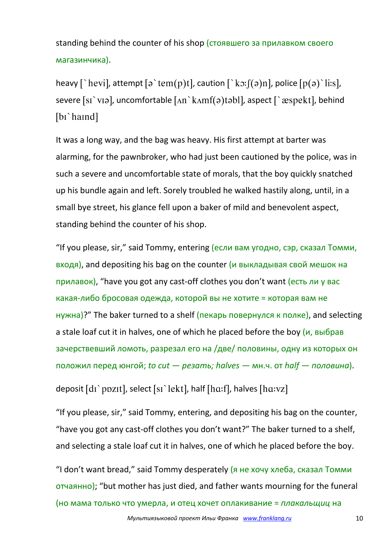standing behind the counter of his shop (стоявшего за прилавком своего магазинчика).

heavy [`hevi], attempt  $\lceil \varphi \rangle$  tem $\lceil \varphi \rangle$ ], caution  $\lceil \varphi \rangle$  ko:  $\lceil \varphi \rangle$  heave  $\lceil \varphi \rangle$  his lightless is the multiple of the solution  $\lceil \varphi \rangle$  his lightless is the multiple of the solution of the solution o severe [sɪ `vɪə], uncomfortable  $\lceil \Delta n \rangle$  k $\Delta m f(\sigma)$  tabl], aspect  $\lceil \rangle$   $\alpha$ spekt], behind [bɪ`haɪnd]

It was a long way, and the bag was heavy. His first attempt at barter was alarming, for the pawnbroker, who had just been cautioned by the police, was in such a severe and uncomfortable state of morals, that the boy quickly snatched up his bundle again and left. Sorely troubled he walked hastily along, until, in a small bye street, his glance fell upon a baker of mild and benevolent aspect, standing behind the counter of his shop.

"If you please, sir," said Tommy, entering (если вам угодно, сэр, сказал Томми, входя), and depositing his bag on the counter (и выкладывая свой мешок на прилавок), "have you got any cast-off clothes you don't want (есть ли у вас какая-либо бросовая одежда, которой вы не хотите = которая вам не нужна)?" The baker turned to a shelf (пекарь повернулся к полке), and selecting a stale loaf cut it in halves, one of which he placed before the boy (и, выбрав зачерствевший ломоть, разрезал его на /две/ половины, одну из которых он положил перед юнгой; *to cut — резать; halves —* мн.ч. от *half — половина*).

deposit [dɪ`pɒzɪt], select [sɪ`lekt], half [hɑ:f], halves [hɑ:vz]

"If you please, sir," said Tommy, entering, and depositing his bag on the counter, "have you got any cast-off clothes you don't want?" The baker turned to a shelf, and selecting a stale loaf cut it in halves, one of which he placed before the boy.

"I don't want bread," said Tommy desperately  $(a + b + c)$  хлеба, сказал Томми отчаянно); "but mother has just died, and father wants mourning for the funeral (но мама только что умерла, и отец хочет оплакивание = *плакальщиц* на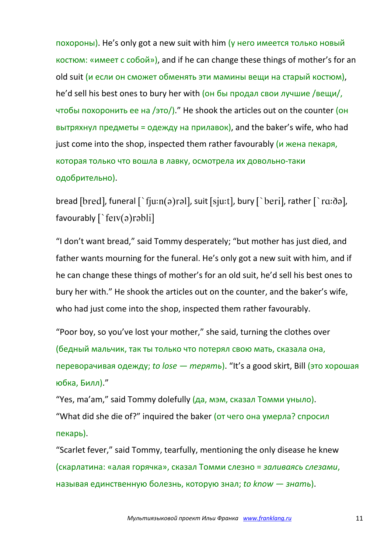похороны). He's only got a new suit with him (у него имеется только новый костюм: «имеет с собой»), and if he can change these things of mother's for an old suit (и если он сможет обменять эти мамины вещи на старый костюм), he'd sell his best ones to bury her with (он бы продал свои лучшие /вещи/, чтобы похоронить ее на /это/)." He shook the articles out on the counter (он вытряхнул предметы = одежду на прилавок), and the baker's wife, who had just come into the shop, inspected them rather favourably (и жена пекаря, которая только что вошла в лавку, осмотрела их довольно-таки одобрительно).

bread [bred], funeral  $\lceil \frac{1}{\mu}$  fiu:n(a)ral], suit [sju:t], bury  $\lceil \frac{1}{\mu}$  beri], rather  $\lceil \frac{1}{\mu}$  ra:da], favourably  $\lceil$  ferv(a) rabli

"I don't want bread," said Tommy desperately; "but mother has just died, and father wants mourning for the funeral. He's only got a new suit with him, and if he can change these things of mother's for an old suit, he'd sell his best ones to bury her with." He shook the articles out on the counter, and the baker's wife, who had just come into the shop, inspected them rather favourably.

"Poor boy, so you've lost your mother," she said, turning the clothes over (бедный мальчик, так ты только что потерял свою мать, сказала она, переворачивая одежду; *to lose — терять*). "It's a good skirt, Bill (это хорошая юбка, Билл)."

"Yes, ma'am," said Tommy dolefully (да, мэм, сказал Томми уныло). "What did she die of?" inquired the baker (от чего она умерла? спросил пекарь).

"Scarlet fever," said Tommy, tearfully, mentioning the only disease he knew (скарлатина: «алая горячка», сказал Томми слезно = *заливаясь слезами*, называя единственную болезнь, которую знал; *to know — знать*).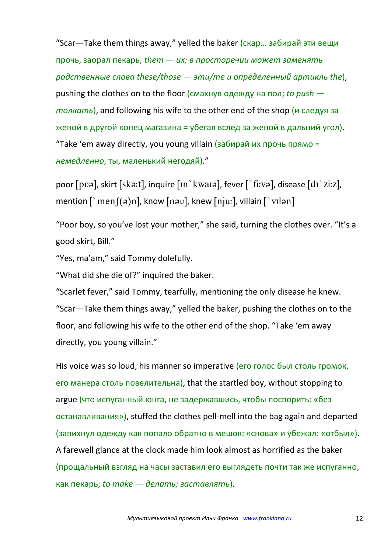"Scar—Take them things away," yelled the baker (скар… забирай эти вещи прочь, заорал пекарь; *them — их; в просторечии может заменять родственные слова these/those — эти/те и определенный артикль the*), pushing the clothes on to the floor (смахнув одежду на пол; *to push толкать*), and following his wife to the other end of the shop (и следуя за женой в другой конец магазина = убегая вслед за женой в дальний угол). "Take 'em away directly, you young villain (забирай их прочь прямо = *немедленно*, ты, маленький негодяй)."

poor  $[pv\partial]$ , skirt  $[sk\partial]$ , inquire  $[n\Delta kwa\partial]$ , fever  $[\Delta k v\partial]$ , disease  $\delta$   $d\Gamma$  zi:z], mention  $\lceil \text{men}(\theta)n \rceil$ , know  $\lceil n \text{au} \rceil$ , knew  $\lceil n \text{iu} \rceil$ , villain  $\lceil \text{v} \rceil$ 

"Poor boy, so you've lost your mother," she said, turning the clothes over. "It's a good skirt, Bill."

"Yes, ma'am," said Tommy dolefully.

"What did she die of?" inquired the baker.

"Scarlet fever," said Tommy, tearfully, mentioning the only disease he knew. "Scar—Take them things away," yelled the baker, pushing the clothes on to the floor, and following his wife to the other end of the shop. "Take 'em away directly, you young villain."

His voice was so loud, his manner so imperative (его голос был столь громок, его манера столь повелительна), that the startled boy, without stopping to argue (что испуганный юнга, не задержавшись, чтобы поспорить: «без останавливания»), stuffed the clothes pell-mell into the bag again and departed (запихнул одежду как попало обратно в мешок: «снова» и убежал: «отбыл»). A farewell glance at the clock made him look almost as horrified as the baker (прощальный взгляд на часы заставил его выглядеть почти так же испуганно, как пекарь; *to make — делать; заставлять*).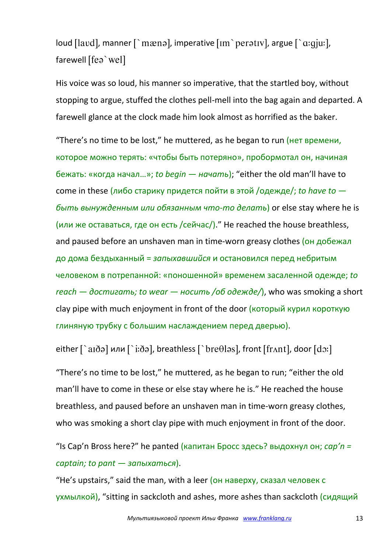loud [lavd], manner  $\lceil \cdot \text{mæna} \rceil$ , imperative  $\lceil \text{nm} \cdot \text{peratu} \rceil$ , argue  $\lceil \cdot \text{a:giu} \rceil$ , farewell [fea`wel]

His voice was so loud, his manner so imperative, that the startled boy, without stopping to argue, stuffed the clothes pell-mell into the bag again and departed. A farewell glance at the clock made him look almost as horrified as the baker.

"There's no time to be lost," he muttered, as he began to run (нет времени, которое можно терять: «чтобы быть потеряно», пробормотал он, начиная бежать: «когда начал…»; *to begin — начать*); "either the old man'll have to come in these (либо старику придется пойти в этой /одежде/; *to have to быть вынужденным или обязанным что-то делать*) or else stay where he is (или же оставаться, где он есть /сейчас/)." He reached the house breathless, and paused before an unshaven man in time-worn greasy clothes (он добежал до дома бездыханный = *запыхавшийся* и остановился перед небритым человеком в потрепанной: «поношенной» временем засаленной одежде; *to reach — достигать; to wear — носить /об одежде/*), who was smoking a short clay pipe with much enjoyment in front of the door (который курил короткую глиняную трубку с большим наслаждением перед дверью).

either  $\lceil$ `aɪðə] или  $\lceil$ `i:ðə], breathless  $\lceil$ `bre $\theta$ ləs], front  $\lceil$ frʌnt], door  $\lceil$ dɔ:]

"There's no time to be lost," he muttered, as he began to run; "either the old man'll have to come in these or else stay where he is." He reached the house breathless, and paused before an unshaven man in time-worn greasy clothes, who was smoking a short clay pipe with much enjoyment in front of the door.

"Is Cap'n Bross here?" he panted (капитан Бросс здесь? выдохнул он; *cap'n = captain; to pant — запыхаться*).

"He's upstairs," said the man, with a leer (он наверху, сказал человек с ухмылкой), "sitting in sackcloth and ashes, more ashes than sackcloth (сидящий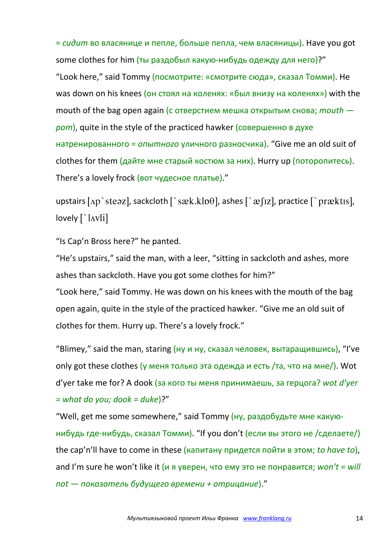= *сидит* во власянице и пепле, больше пепла, чем власяницы). Have you got some clothes for him (ты раздобыл какую-нибудь одежду для него)?" "Look here," said Tommy (посмотрите: «смотрите сюда», сказал Томми). He was down on his knees (он стоял на коленях: «был внизу на коленях») with the mouth of the bag open again (с отверстием мешка открытым снова; *mouth рот*), quite in the style of the practiced hawker (совершенно в духе натренированного = *опытного* уличного разносчика). "Give me an old suit of clothes for them (дайте мне старый костюм за них). Hurry up (поторопитесь). There's a lovely frock (вот чудесное платье)."

upstairs  $\lceil \Delta p \rceil$  steaz], sackcloth  $\lceil \Delta x \rceil$  ashes  $\lceil \Delta x \rceil$  ashes  $\lceil \Delta x \rceil$  aractice  $\lceil \Delta x \rceil$  practis],  $lovely [`lavli]$ 

"Is Cap'n Bross here?" he panted.

"He's upstairs," said the man, with a leer, "sitting in sackcloth and ashes, more ashes than sackcloth. Have you got some clothes for him?"

"Look here," said Tommy. He was down on his knees with the mouth of the bag open again, quite in the style of the practiced hawker. "Give me an old suit of clothes for them. Hurry up. There's a lovely frock."

"Blimey," said the man, staring (ну и ну, сказал человек, вытаращившись), "I've only got these clothes (у меня только эта одежда и есть /та, что на мне/). Wot d'yer take me for? A dook (за кого ты меня принимаешь, за герцога? *wot d'yer = what do you; dook = duke*)?"

"Well, get me some somewhere," said Tommy (ну, раздобудьте мне какуюнибудь где-нибудь, сказал Томми). "If you don't (если вы этого не /сделаете/) the cap'n'll have to come in these (капитану придется пойти в этом; *to have to*), and I'm sure he won't like it (и я уверен, что ему это не понравится; *won't = will not — показатель будущего времени + отрицание*)."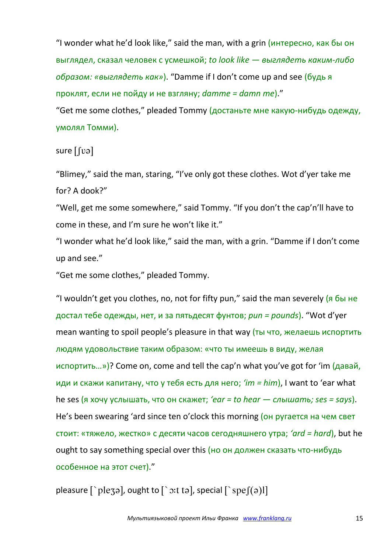"I wonder what he'd look like," said the man, with a grin (интересно, как бы он выглядел, сказал человек с усмешкой; *to look like — выглядеть каким-либо образом: «выглядеть как»*). "Damme if I don't come up and see (будь я проклят, если не пойду и не взгляну; *damme = damn me*)."

"Get me some clothes," pleaded Tommy (достаньте мне какую-нибудь одежду, умолял Томми).

sure  $\lceil \lceil \nu \rceil$ 

"Blimey," said the man, staring, "I've only got these clothes. Wot d'yer take me for? A dook?"

"Well, get me some somewhere," said Tommy. "If you don't the cap'n'll have to come in these, and I'm sure he won't like it."

"I wonder what he'd look like," said the man, with a grin. "Damme if I don't come up and see."

"Get me some clothes," pleaded Tommy.

"I wouldn't get you clothes, no, not for fifty pun," said the man severely (я бы не достал тебе одежды, нет, и за пятьдесят фунтов; *pun = pounds*). "Wot d'yer mean wanting to spoil people's pleasure in that way (ты что, желаешь испортить людям удовольствие таким образом: «что ты имеешь в виду, желая испортить…»)? Come on, come and tell the cap'n what you've got for 'im (давай, иди и скажи капитану, что у тебя есть для него; *'im = him*), I want to 'ear what he ses (я хочу услышать, что он скажет; *'ear = to hear — слышать; ses = says*). He's been swearing 'ard since ten o'clock this morning (он ругается на чем свет стоит: «тяжело, жестко» с десяти часов сегодняшнего утра; *'ard = hard*), but he ought to say something special over this (но он должен сказать что-нибудь особенное на этот счет)."

pleasure  $\lceil \Delta p \rceil$ , ought to  $\lceil \Delta p \rceil$ , special  $\lceil \Delta p \rceil$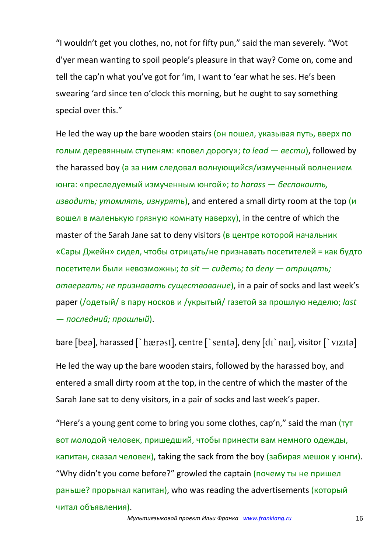"I wouldn't get you clothes, no, not for fifty pun," said the man severely. "Wot d'yer mean wanting to spoil people's pleasure in that way? Come on, come and tell the cap'n what you've got for 'im, I want to 'ear what he ses. He's been swearing 'ard since ten o'clock this morning, but he ought to say something special over this."

He led the way up the bare wooden stairs (он пошел, указывая путь, вверх по голым деревянным ступеням: «повел дорогу»; *to lead — вести*), followed by the harassed boy (а за ним следовал волнующийся/измученный волнением юнга: «преследуемый измученным юнгой»; *to harass — беспокоить, изводить; утомлять, изнурять*), and entered a small dirty room at the top (и вошел в маленькую грязную комнату наверху), in the centre of which the master of the Sarah Jane sat to deny visitors (в центре которой начальник «Сары Джейн» сидел, чтобы отрицать/не признавать посетителей = как будто посетители были невозможны; *to sit — сидеть; to deny — отрицать; отвергать; не признавать существование*), in a pair of socks and last week's paper (/одетый/ в пару носков и /укрытый/ газетой за прошлую неделю; *last — последний; прошлый*).

bare [beə], harassed [`hærəst], centre [`sentə], deny  $\left[$ dı`naı], visitor [`vizitə]

He led the way up the bare wooden stairs, followed by the harassed boy, and entered a small dirty room at the top, in the centre of which the master of the Sarah Jane sat to deny visitors, in a pair of socks and last week's paper.

"Here's a young gent come to bring you some clothes, cap'n," said the man  $(\tau y \tau)$ вот молодой человек, пришедший, чтобы принести вам немного одежды, капитан, сказал человек), taking the sack from the boy (забирая мешок у юнги). "Why didn't you come before?" growled the captain (почему ты не пришел раньше? прорычал капитан), who was reading the advertisements (который читал объявления).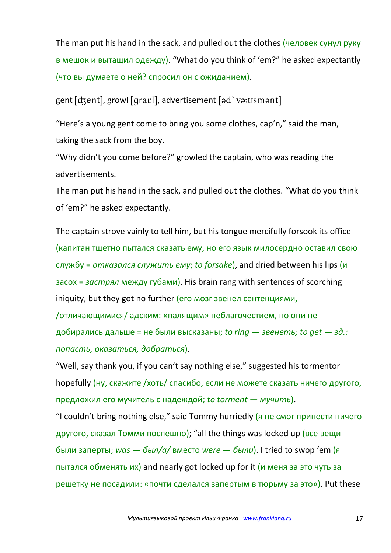The man put his hand in the sack, and pulled out the clothes (человек сунул руку в мешок и вытащил одежду). "What do you think of 'em?" he asked expectantly (что вы думаете о ней? спросил он с ожиданием).

gent [dʒent], growl [qravl], advertisement [ad`va:tismant]

"Here's a young gent come to bring you some clothes, cap'n," said the man, taking the sack from the boy.

"Why didn't you come before?" growled the captain, who was reading the advertisements.

The man put his hand in the sack, and pulled out the clothes. "What do you think of 'em?" he asked expectantly.

The captain strove vainly to tell him, but his tongue mercifully forsook its office (капитан тщетно пытался сказать ему, но его язык милосердно оставил свою службу = *отказался служить ему*; *to forsake*), and dried between his lips (и засох = *застрял* между губами). His brain rang with sentences of scorching iniquity, but they got no further (его мозг звенел сентенциями,

/отличающимися/ адским: «палящим» неблагочестием, но они не добирались дальше = не были высказаны; *to ring — звенеть; to get — зд.: попасть, оказаться, добраться*).

"Well, say thank you, if you can't say nothing else," suggested his tormentor hopefully (ну, скажите /хоть/ спасибо, если не можете сказать ничего другого, предложил его мучитель с надеждой; *to torment — мучить*).

"I couldn't bring nothing else," said Tommy hurriedly (я не смог принести ничего другого, сказал Томми поспешно); "all the things was locked up (все вещи были заперты; *was — был/а/* вместо *were — были*). I tried to swop 'em (я пытался обменять их) and nearly got locked up for it (и меня за это чуть за решетку не посадили: «почти сделался запертым в тюрьму за это»). Put these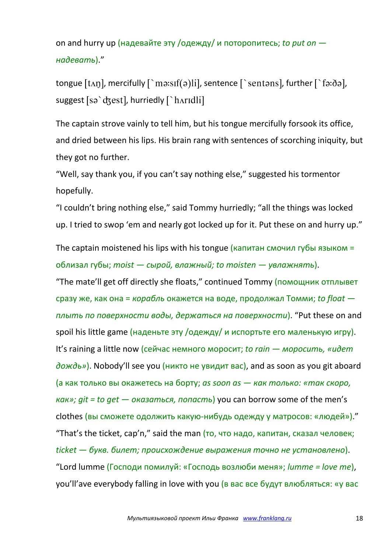on and hurry up (надевайте эту /одежду/ и поторопитесь; *to put on надевать*)."

tongue  $[t \land n]$ , mercifully  $\lceil \text{`mə:} \text{sf(ə)} \text{li}$ , sentence  $\lceil \text{`sentə} \text{ns} \rceil$ , further  $\lceil \text{`fə:} \delta \text{ə} \rceil$ , suggest [sə `dʒest], hurriedly [ `hʌrɪdli]

The captain strove vainly to tell him, but his tongue mercifully forsook its office, and dried between his lips. His brain rang with sentences of scorching iniquity, but they got no further.

"Well, say thank you, if you can't say nothing else," suggested his tormentor hopefully.

"I couldn't bring nothing else," said Tommy hurriedly; "all the things was locked up. I tried to swop 'em and nearly got locked up for it. Put these on and hurry up."

The captain moistened his lips with his tongue (капитан смочил губы языком = облизал губы; *moist — сырой, влажный; to moisten — увлажнять*).

"The mate'll get off directly she floats," continued Tommy (помощник отплывет сразу же, как она = *корабль* окажется на воде, продолжал Томми; *to float плыть по поверхности воды, держаться на поверхности*). "Put these on and spoil his little game (наденьте эту /одежду/ и испортьте его маленькую игру). It's raining a little now (сейчас немного моросит; *to rain — моросить, «идет дождь»*). Nobody'll see you (никто не увидит вас), and as soon as you git aboard (а как только вы окажетесь на борту; *as soon as — как только: «так скоро, как»; git = to get — оказаться, попасть*) you can borrow some of the men's clothes (вы сможете одолжить какую-нибудь одежду у матросов: «людей»)." "That's the ticket, cap'n," said the man  $(TO, 4TO)$  надо, капитан, сказал человек; *ticket — букв. билет; происхождение выражения точно не установлено*). "Lord lumme (Господи помилуй: «Господь возлюби меня»; *lumme = love me*), you'll'ave everybody falling in love with you (в вас все будут влюбляться: «у вас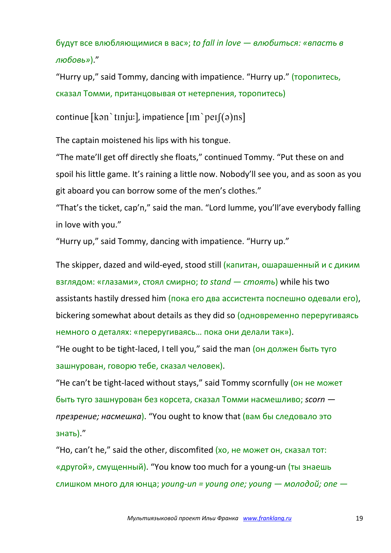будут все влюбляющимися в вас»; *to fall in love — влюбиться: «впасть в любовь»*)."

"Hurry up," said Tommy, dancing with impatience. "Hurry up." (торопитесь, сказал Томми, пританцовывая от нетерпения, торопитесь)

continue [kan `tɪnju:], impatience  $\text{Im}$  `peɪ $\text{f}(a)$ ns]

The captain moistened his lips with his tongue.

"The mate'll get off directly she floats," continued Tommy. "Put these on and spoil his little game. It's raining a little now. Nobody'll see you, and as soon as you git aboard you can borrow some of the men's clothes."

"That's the ticket, cap'n," said the man. "Lord lumme, you'll'ave everybody falling in love with you."

"Hurry up," said Tommy, dancing with impatience. "Hurry up."

The skipper, dazed and wild-eyed, stood still (капитан, ошарашенный и с диким взглядом: «глазами», стоял смирно; *to stand — стоять*) while his two assistants hastily dressed him (пока его два ассистента поспешно одевали его), bickering somewhat about details as they did so (одновременно переругиваясь немного о деталях: «переругиваясь… пока они делали так»).

"He ought to be tight-laced, I tell you," said the man (он должен быть туго зашнурован, говорю тебе, сказал человек).

"He can't be tight-laced without stays," said Tommy scornfully (он не может быть туго зашнурован без корсета, сказал Томми насмешливо; *scorn презрение; насмешка*). "You ought to know that (вам бы следовало это знать)."

"Ho, can't he," said the other, discomfited (хо, не может он, сказал тот: «другой», смущенный). "You know too much for a young-un (ты знаешь слишком много для юнца; *young-un = young one; young — молодой; one —*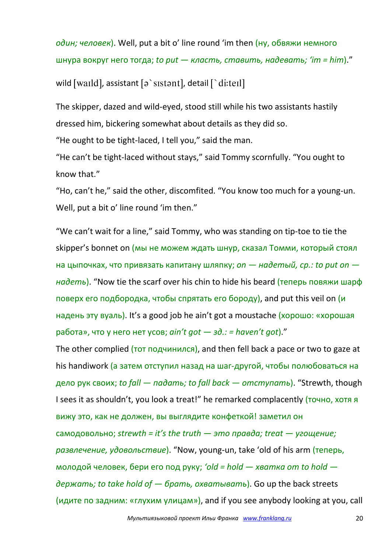*один; человек*). Well, put a bit o' line round 'im then (ну, обвяжи немного шнура вокруг него тогда; *to put — класть, ставить, надевать; 'im = him*)." wild [waild], assistant [a`sistant], detail [`di:teil]

The skipper, dazed and wild-eyed, stood still while his two assistants hastily dressed him, bickering somewhat about details as they did so.

"He ought to be tight-laced, I tell you," said the man.

"He can't be tight-laced without stays," said Tommy scornfully. "You ought to know that."

"Ho, can't he," said the other, discomfited. "You know too much for a young-un. Well, put a bit o' line round 'im then."

"We can't wait for a line," said Tommy, who was standing on tip-toe to tie the skipper's bonnet on (мы не можем ждать шнур, сказал Томми, который стоял на цыпочках, что привязать капитану шляпку; *on — надетый, ср.: to put on надеть*). "Now tie the scarf over his chin to hide his beard (теперь повяжи шарф поверх его подбородка, чтобы спрятать его бороду), and put this veil on (и надень эту вуаль). It's a good job he ain't got a moustache (хорошо: «хорошая работа», что у него нет усов; *ain't got — зд.: = haven't got*)."

The other complied (тот подчинился), and then fell back a pace or two to gaze at his handiwork (а затем отступил назад на шаг-другой, чтобы полюбоваться на дело рук своих; *to fall — падать; to fall back — отступать*). "Strewth, though I sees it as shouldn't, you look a treat!" he remarked complacently (точно, хотя я вижу это, как не должен, вы выглядите конфеткой! заметил он самодовольно; *strewth = it's the truth — это правда; treat — угощение; развлечение, удовольствие*). "Now, young-un, take 'old of his arm (теперь, молодой человек, бери его под руку; *'old = hold — хватка от to hold держать; to take hold of — брать, охватывать*). Go up the back streets (идите по задним: «глухим улицам»), and if you see anybody looking at you, call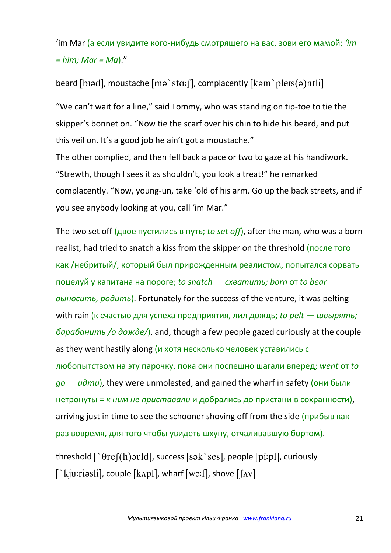'im Mar (а если увидите кого-нибудь смотрящего на вас, зови его мамой; *'im = him; Mar = Ma*)."

beard [biad], moustache  $\lceil m\rho \rangle$  sta: [], complacently  $\lceil k\rho m \rangle$  pleis(a)ntli]

"We can't wait for a line," said Tommy, who was standing on tip-toe to tie the skipper's bonnet on. "Now tie the scarf over his chin to hide his beard, and put this veil on. It's a good job he ain't got a moustache."

The other complied, and then fell back a pace or two to gaze at his handiwork. "Strewth, though I sees it as shouldn't, you look a treat!" he remarked complacently. "Now, young-un, take 'old of his arm. Go up the back streets, and if you see anybody looking at you, call 'im Mar."

The two set off (двое пустились в путь; *to set off*), after the man, who was a born realist, had tried to snatch a kiss from the skipper on the threshold (после того как /небритый/, который был прирожденным реалистом, попытался сорвать поцелуй у капитана на пороге; *to snatch — схватить; born* от *to bear выносить, родить*). Fortunately for the success of the venture, it was pelting with rain (к счастью для успеха предприятия, лил дождь; *to pelt — швырять; барабанить /о дожде/*), and, though a few people gazed curiously at the couple as they went hastily along (и хотя несколько человек уставились с любопытством на эту парочку, пока они поспешно шагали вперед; *went* от *to go — идти*), they were unmolested, and gained the wharf in safety (они были нетронуты = *к ним не приставали* и добрались до пристани в сохранности), arriving just in time to see the schooner shoving off from the side (прибыв как раз вовремя, для того чтобы увидеть шхуну, отчаливавшую бортом).

threshold  $\lceil \theta r e(f(h) \text{ and } g(g(h)) \text{ and } g(h(h)) \text{ and } g(h(h)) \text{ and } g(h(h)) \text{ and } g(h(h)) \text{ and } g(h(h)) \text{ and } g(h(h)) \text{ and } g(h(h)) \text{ and } g(h(h)) \text{ and } g(h(h)) \text{ and } g(h(h)) \text{ and } g(h(h)) \text{ and } g(h(h)) \text{ and } g(h(h)) \text{ and } g(h(h)) \text{ and } g(h) \text{ and } g(h) \text{ and } g(h) \text{ and } g(h) \text{ and } g(h) \text{ and } g(h) \text{ and } g(h) \text{ and } g(h) \$  $\lceil$  kju:riasli], couple  $\lceil \text{kapl} \rceil$ , wharf  $\lceil \text{wo:fl} \rceil$ , shove  $\lceil \lceil \text{Av} \rceil$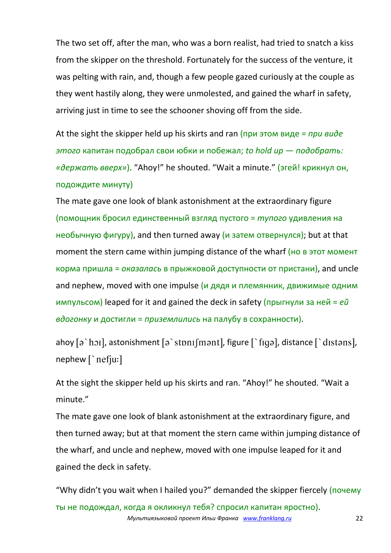The two set off, after the man, who was a born realist, had tried to snatch a kiss from the skipper on the threshold. Fortunately for the success of the venture, it was pelting with rain, and, though a few people gazed curiously at the couple as they went hastily along, they were unmolested, and gained the wharf in safety, arriving just in time to see the schooner shoving off from the side.

At the sight the skipper held up his skirts and ran (при этом виде = *при виде этого* капитан подобрал свои юбки и побежал; *to hold up — подобрать: «держать вверх»*). "Ahoy!" he shouted. "Wait a minute." (эгей! крикнул он, подождите минуту)

The mate gave one look of blank astonishment at the extraordinary figure (помощник бросил единственный взгляд пустого = *тупого* удивления на необычную фигуру), and then turned away (и затем отвернулся); but at that moment the stern came within jumping distance of the wharf (но в этот момент корма пришла = *оказалась* в прыжковой доступности от пристани), and uncle and nephew, moved with one impulse ( $\mu$  дядя и племянник, движимые одним импульсом) leaped for it and gained the deck in safety (прыгнули за ней = *ей вдогонку* и достигли = *приземлились* на палубу в сохранности).

ahoy  $\lceil \varphi \rceil$  hoil, astonishment  $\lceil \varphi \rceil$  stonif mantl, figure  $\lceil \varphi \rceil$  figal, distance  $\lceil \varphi \rceil$  distansl, nephew [`nefju:]

At the sight the skipper held up his skirts and ran. "Ahoy!" he shouted. "Wait a minute."

The mate gave one look of blank astonishment at the extraordinary figure, and then turned away; but at that moment the stern came within jumping distance of the wharf, and uncle and nephew, moved with one impulse leaped for it and gained the deck in safety.

*Мультиязыковой проект Ильи Франка www.franklang.ru* 22 "Why didn't you wait when I hailed you?" demanded the skipper fiercely (почему ты не подождал, когда я окликнул тебя? спросил капитан яростно).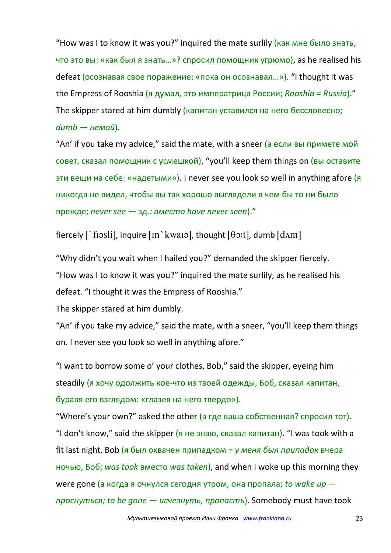"How was I to know it was you?" inquired the mate surlily (как мне было знать, что это вы: «как был я знать…»? спросил помощник угрюмо), as he realised his defeat (осознавая свое поражение: «пока он осознавал…»). "I thought it was the Empress of Rooshia (я думал, это императрица России; *Rooshia = Russia*)." The skipper stared at him dumbly (капитан уставился на него бессловесно; *dumb — немой*).

"An' if you take my advice," said the mate, with a sneer  $(a$  если вы примете мой совет, сказал помощник с усмешкой), "you'll keep them things on (вы оставите эти вещи на себе: «надетыми»). I never see you look so well in anything afore (я никогда не видел, чтобы вы так хорошо выглядели в чем бы то ни было прежде; *never see —* зд*.: вместо have never seen*)."

fiercely  $\lceil \cdot \text{f} \cdot \text{f} \cdot \text{f} \cdot \text{f} \cdot \text{f} \cdot \text{f} \cdot \text{f} \cdot \text{f} \cdot \text{f} \cdot \text{f} \cdot \text{f} \cdot \text{f} \cdot \text{f} \cdot \text{f} \cdot \text{f} \cdot \text{f} \cdot \text{f} \cdot \text{f} \cdot \text{f} \cdot \text{f} \cdot \text{f} \cdot \text{f} \cdot \text{f} \cdot \text{f} \cdot \text{f} \cdot \text{f} \cdot \text{f} \cdot \text{f} \cdot \text{f} \cdot \text{$ 

"Why didn't you wait when I hailed you?" demanded the skipper fiercely. "How was I to know it was you?" inquired the mate surlily, as he realised his defeat. "I thought it was the Empress of Rooshia."

The skipper stared at him dumbly.

"An' if you take my advice," said the mate, with a sneer, "you'll keep them things on. I never see you look so well in anything afore."

"I want to borrow some o' your clothes, Bob," said the skipper, eyeing him steadily (я хочу одолжить кое-что из твоей одежды, Боб, сказал капитан, буравя его взглядом: «глазея на него твердо»).

"Where's your own?" asked the other (а где ваша собственная? спросил тот). "I don't know," said the skipper  $(a + b)$  не знаю, сказал капитан). "I was took with a fit last night, Bob (я был охвачен припадком = *у меня был припадок* вчера ночью, Боб; *was took* вместо *was taken*), and when I woke up this morning they were gone (а когда я очнулся сегодня утром, она пропала; *to wake up проснуться; to be gone — исчезнуть, пропасть*). Somebody must have took